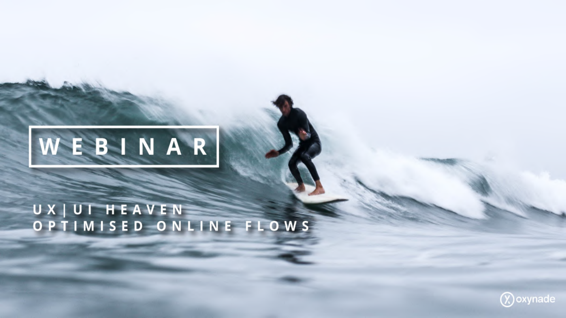

# UX UT HEAVEN<br>OPTIMISED ONLINE FLOWS

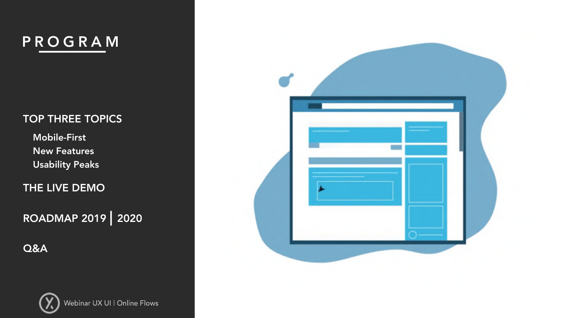### PROGRAM

#### TOP THREE TOPICS

Usability Peaks New Features Mobile -First

THE LIVE DEMO

ROADMAP 2019 | 2020

Q&A



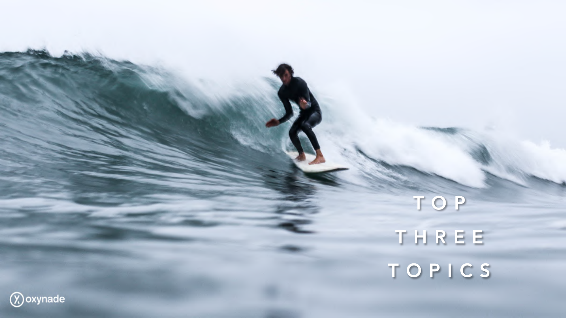## TOP THREE TOPICS

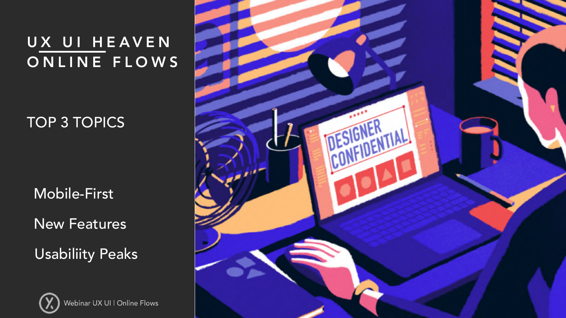TOP 3 TOPICS

Mobile-First

New Features

Usabiliity Peaks



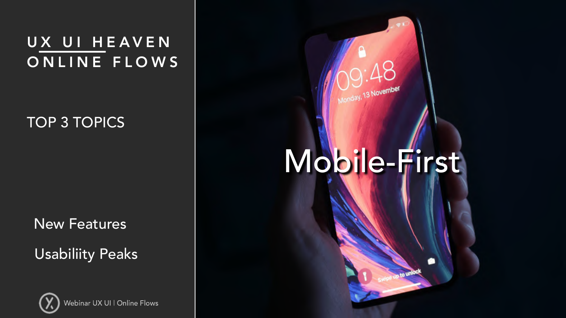#### TOP 3 TOPICS

New Features

Usabiliity Peaks





# Mobile-First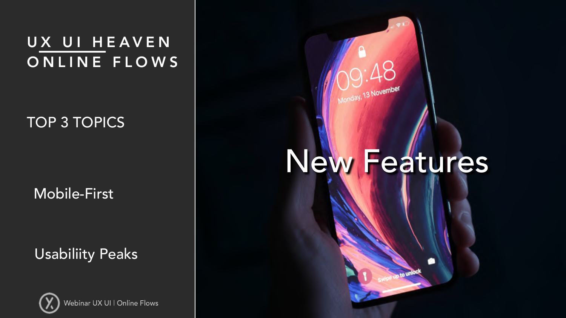TOP 3 TOPICS

Mobile-First

Usabiliity Peaks





## New Features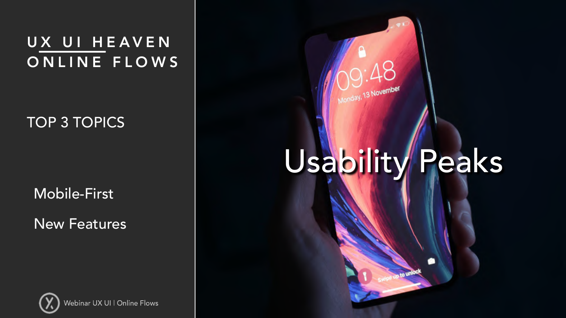TOP 3 TOPICS

Mobile-First

New Features





# Usability Peaks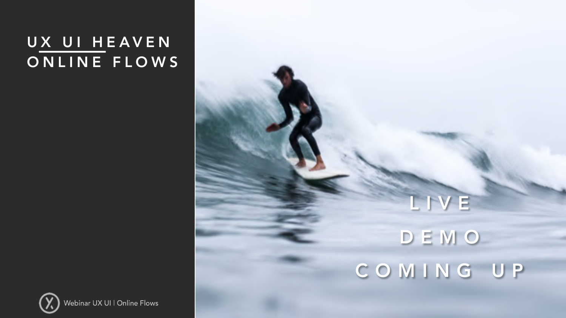## LIVE DEMO COMING UP

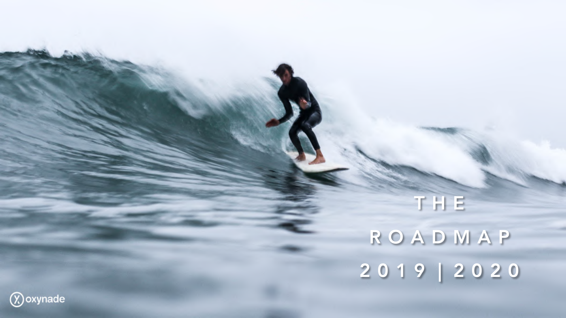## THE ROADMAP 2019 | 2020

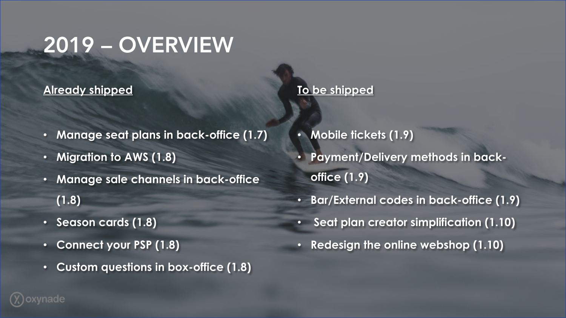## 2019 – OVERVIEW

#### **Already shipped**

- **Manage seat plans in back-office (1.7)**
- **Migration to AWS (1.8)**
- **Manage sale channels in back-office (1.8)**
- **Season cards (1.8)**
- **Connect your PSP (1.8)**
- **Custom questions in box-office (1.8)**

## • **Mobile tickets (1.9)** • **Payment/Delivery methods in backoffice (1.9)**

**To be shipped**

- **Bar/External codes in back-office (1.9)**
- **Seat plan creator simplification (1.10)**
- **Redesign the online webshop (1.10)**

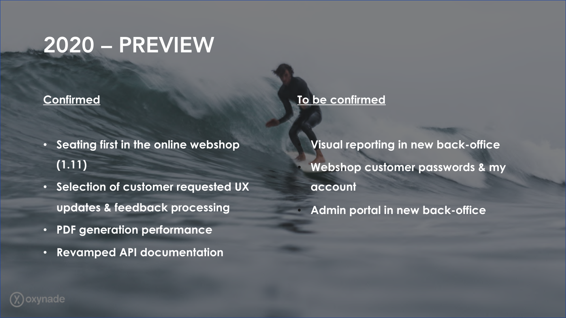## 2020 – PREVIEW

#### **Confirmed**

- **Seating first in the online webshop (1.11)**
- **Selection of customer requested UX updates & feedback processing**
- **PDF generation performance**
- **Revamped API documentation**

• **Visual reporting in new back-office** • **Webshop customer passwords & my account**

• **Admin portal in new back-office**

**To be confirmed**

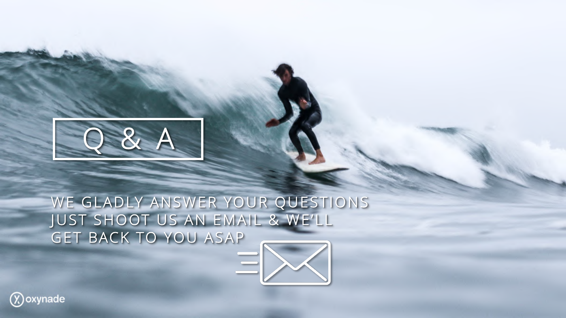

WE GLADLY ANSWER YOUR QUESTIONS JUST SHOOT US AN EMAIL & WE'LL GET BACK TO YOU ASAP



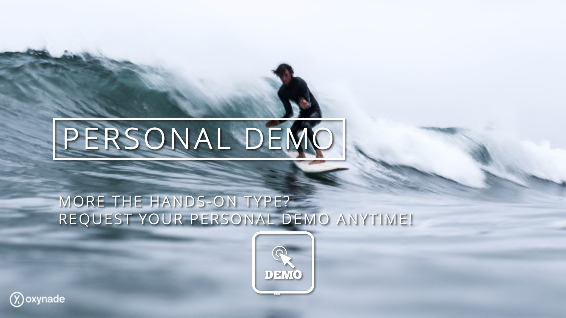# PERSONAL DEMO

### MORE THE HANDS-ON TYPE? REQUEST YOUR PERSONAL DEMO ANYTIME!